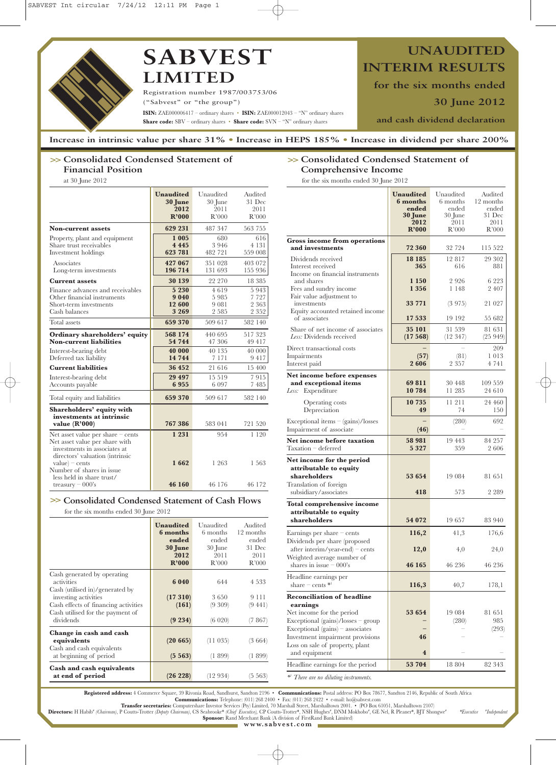

Registration number 1987/003753/06 ("Sabvest" or "the group") **ISIN:** ZAE000006417 – ordinary shares • **ISIN:** ZAE000012043 – "N" ordinary shares **Share code:** SBV – ordinary shares • **Share code:** SVN – "N" ordinary shares

**UNAUDITED INTERIM RESULTS**

**for the six months ended** 

**30 June 2012**

**and cash dividend declaration** 

**Increase in intrinsic value per share 31% • Increase in HEPS 185% • Increase in dividend per share 200%** 

# **>> Consolidated Condensed Statement of Financial Position**

at 30 June 2012

|                                                                                                                                                             | <b>Unaudited</b><br>30 June<br>2012<br>R'000 | Unaudited<br>30 June<br>2011<br>R'000 | Audited<br>31 Dec<br>2011<br>R'000  |
|-------------------------------------------------------------------------------------------------------------------------------------------------------------|----------------------------------------------|---------------------------------------|-------------------------------------|
| <b>Non-current assets</b>                                                                                                                                   | 629 231                                      | 487 347                               | 563 755                             |
| Property, plant and equipment<br>Share trust receivables<br>Investment holdings                                                                             | 1 0 0 5<br>4 4 4 5<br>623 781                | 680<br>3946<br>482 721                | 616<br>4 1 3 1<br>559 008           |
| Associates<br>Long-term investments                                                                                                                         | 427 067<br>196 714                           | 351 028<br>131 693                    | 403 072<br>155 936                  |
| <b>Current assets</b>                                                                                                                                       | 30 139                                       | 22 270                                | 18 385                              |
| Finance advances and receivables<br>Other financial instruments<br>Short-term investments<br>Cash balances                                                  | 5 2 3 0<br>9040<br>12 600<br>3 2 6 9         | 4619<br>5985<br>9 081<br>2 5 8 5      | 5943<br>7 7 2 7<br>2 363<br>2 3 5 2 |
| Total assets                                                                                                                                                | 659 370                                      | 509 617                               | 582 140                             |
| Ordinary shareholders' equity<br><b>Non-current liabilities</b>                                                                                             | 568 174<br>54 744                            | 440 695<br>47 306                     | 517323<br>49 417                    |
| Interest-bearing debt<br>Deferred tax liability                                                                                                             | 40 000<br>14 744                             | 40 135<br>7 1 7 1                     | 40 000<br>9417                      |
| <b>Current liabilities</b>                                                                                                                                  | 36 452                                       | 21 616                                | 15 400                              |
| Interest-bearing debt<br>Accounts payable                                                                                                                   | 29 497<br>6955                               | 15 5 19<br>6 0 9 7                    | 7915<br>7485                        |
| Total equity and liabilities                                                                                                                                | 659 370                                      | 509 617                               | 582 140                             |
| Shareholders' equity with<br>investments at intrinsic<br>value $(R'000)$                                                                                    | 767386                                       | 583 041                               | 721 520                             |
| Net asset value per share $-$ cents<br>Net asset value per share with<br>investments in associates at<br>directors' valuation (intrinsic<br>$value$ – cents | 1 2 3 1<br>1662                              | 954<br>1 263                          | 1 1 2 0<br>1 563                    |
| Number of shares in issue.<br>less held in share trust/<br>treasury $-000$ 's                                                                               | 46 160                                       | 46 176                                | 46 172                              |

## **>> Consolidated Condensed Statement of Cash Flows**

for the six months ended 30 June 2012

|                                                                                                                                                                                               | <b>Unaudited</b><br>6 months<br>ended<br><b>30 June</b><br>2012<br>R'000 | Unaudited<br>6 months<br>ended<br>30 June<br>2011<br>R'000 | Audited<br>12 months<br>ended<br>31 Dec<br>2011<br>R'000 |
|-----------------------------------------------------------------------------------------------------------------------------------------------------------------------------------------------|--------------------------------------------------------------------------|------------------------------------------------------------|----------------------------------------------------------|
| Cash generated by operating<br>activities<br>Cash (utilised in)/generated by<br>investing activities<br>Cash effects of financing activities<br>Cash utilised for the payment of<br>dividends | 6 0 4 0<br>(17310)<br>(161)<br>(9 234)                                   | 644<br>3650<br>(9 309)<br>(6 020)                          | 4 5 3 3<br>9 1 1 1<br>(9441)<br>(7867)                   |
| Change in cash and cash<br>equivalents<br>Cash and cash equivalents<br>at beginning of period                                                                                                 | (20665)<br>(5563)                                                        | (11035)<br>(1899)                                          | (3664)<br>(1.899)                                        |
| Cash and cash equivalents<br>at end of period                                                                                                                                                 | (26 228)                                                                 | (12934)                                                    | $(5\;563)$                                               |

|  |  | >> Consolidated Condensed Statement of |  |  |  |  |  |  |  |
|--|--|----------------------------------------|--|--|--|--|--|--|--|
|  |  | Comprehensive Income                   |  |  |  |  |  |  |  |
|  |  | $\alpha$ ii iiinaar aana               |  |  |  |  |  |  |  |

| for the six months ended 30 June 2012                                                                          |                                                                          |                                                            |                                                          |
|----------------------------------------------------------------------------------------------------------------|--------------------------------------------------------------------------|------------------------------------------------------------|----------------------------------------------------------|
|                                                                                                                | <b>Unaudited</b><br>6 months<br>ended<br><b>30 June</b><br>2012<br>R'000 | Unaudited<br>6 months<br>ended<br>30 June<br>2011<br>R'000 | Audited<br>12 months<br>ended<br>31 Dec<br>2011<br>R'000 |
| Gross income from operations<br>and investments                                                                | 72 360                                                                   | 32 724                                                     | 115 522                                                  |
| Dividends received<br>Interest received<br>Income on financial instruments                                     | 18 18 5<br>365                                                           | 12817<br>616                                               | 29 302<br>881                                            |
| and shares<br>Fees and sundry income<br>Fair value adjustment to                                               | 1 1 5 0<br>1 3 5 6                                                       | 2926<br>1 148                                              | 6 2 2 3<br>2 407                                         |
| investments<br>Equity accounted retained income                                                                | 33 771                                                                   | (3975)                                                     | 21 027                                                   |
| of associates<br>Share of net income of associates<br>Less: Dividends received                                 | 17 533<br>35 101<br>(17568)                                              | 19 192<br>31 539<br>(12 347)                               | 55 682<br>81 631<br>(25 949)                             |
| Direct transactional costs<br>Impairments<br>Interest paid                                                     | (57)<br>2606                                                             | (81)<br>2 3 5 7                                            | 209<br>1013<br>4 741                                     |
| Net income before expenses<br>and exceptional items<br>Less: Expenditure                                       | 69811<br>10 784                                                          | 30 448<br>11 285                                           | 109 559<br>24 610                                        |
| Operating costs<br>Depreciation                                                                                | 10 735<br>49                                                             | 11 211<br>74                                               | 24 460<br>150                                            |
| $Exceptional items - (gains)/losses$<br>Impairment of associate                                                | (46)                                                                     | (280)                                                      | 692                                                      |
| Net income before taxation<br>Taxation - deferred                                                              | 58 981<br>5 3 2 7                                                        | 19443<br>359                                               | 84 257<br>2 606                                          |
| Net income for the period<br>attributable to equity<br>shareholders<br>Translation of foreign                  | 53 654                                                                   | 19 084                                                     | 81 651                                                   |
| subsidiary/associates<br><b>Total comprehensive income</b>                                                     | 418                                                                      | 573                                                        | 2 2 8 9                                                  |
| attributable to equity<br>shareholders                                                                         | 54 072                                                                   | 19657                                                      | 83 940                                                   |
| Earnings per share $-$ cents<br>Dividends per share (proposed                                                  | 116,2                                                                    | 41,3                                                       | 176,6                                                    |
| $after\text{ interim/year-end} - cents$<br>Weighted average number of                                          | 12,0                                                                     | 4,0                                                        | 24,0                                                     |
| shares in issue $-000$ 's<br>Headline earnings per                                                             | 46 165                                                                   | 46 236                                                     | 46 236                                                   |
| share – cents $\mathbb{I}^1$                                                                                   | 116,3                                                                    | 40,7                                                       | 178,1                                                    |
| <b>Reconciliation of headline</b><br>earnings<br>Net income for the period                                     | 53 654                                                                   | 19 084                                                     | 81 651                                                   |
| $Exceptional (gains)/losses - group$<br>$Exceptional (gains) - associates$<br>Investment impairment provisions | 46                                                                       | (280)                                                      | 985<br>(293)                                             |
| Loss on sale of property, plant<br>and equipment                                                               | $\overline{\mathbf{4}}$                                                  |                                                            |                                                          |
| Headline earnings for the period                                                                               | 53 704                                                                   | 18 804                                                     | 82 343                                                   |
|                                                                                                                |                                                                          |                                                            |                                                          |

*\*1 There are no diluting instruments.*

Registered address: 4 Commerce Square, 39 Rivonia Road, Sandhurst, Sandton 2196 • Communications: Postal address: PO Box 78677, Sandton 2146, Republic of South Africa<br>Communications: Telephone: (011) 268 2400 • Fax: (011)

*Independent*